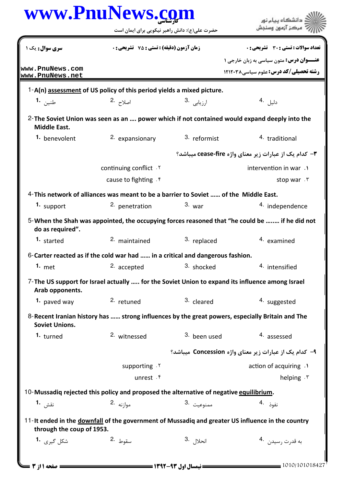|                                    | www.PnuNews.com<br>حضرت علی(ع): دانش راهبر نیکویی برای ایمان است                       |                       | دانشگاه پیام نور<br>مركز آزمون وسنحش                                                               |  |
|------------------------------------|----------------------------------------------------------------------------------------|-----------------------|----------------------------------------------------------------------------------------------------|--|
| سری سوال: یک ۱                     | زمان آزمون (دقيقه) : تستى : 75 ٪ تشريحي : 0                                            |                       | تعداد سوالات : تستي : 30 ٪ تشريحي : 0                                                              |  |
|                                    |                                                                                        |                       | <b>عنـــوان درس:</b> متون سیاسی به زبان خارجی ۱                                                    |  |
| www.PnuNews.com<br>www.PnuNews.net |                                                                                        |                       | <b>رشته تحصیلی/کد درس: علوم سیاسی121208</b>                                                        |  |
|                                    | $1-A(n)$ assessment of US policy of this period yields a mixed picture.                |                       |                                                                                                    |  |
| طنين <b>1.</b>                     | اصلاح .2<br>اصلاح                                                                      | ارزيابى <sup>.3</sup> | دليل .4                                                                                            |  |
| <b>Middle East.</b>                |                                                                                        |                       | 2-The Soviet Union was seen as an  power which if not contained would expand deeply into the       |  |
| 1. benevolent                      | 2. expansionary                                                                        | 3. reformist          | 4. traditional                                                                                     |  |
|                                    | <b>۳</b> - کدام یک از عبارات زیر معنای واژه cease-fire میباشد؟                         |                       |                                                                                                    |  |
|                                    | continuing conflict . Y                                                                |                       | intervention in war.                                                                               |  |
|                                    | cause to fighting $\mathfrak k$                                                        |                       | stop war . ٣                                                                                       |  |
|                                    | 4-This network of alliances was meant to be a barrier to Soviet  of the Middle East.   |                       |                                                                                                    |  |
| 1. support                         | 2. penetration                                                                         | $3.$ war              | 4. independence                                                                                    |  |
| do as required".                   |                                                                                        |                       | 5-When the Shah was appointed, the occupying forces reasoned that "he could be  if he did not      |  |
| $1.$ started                       | 2. maintained                                                                          | 3. replaced           | 4. examined                                                                                        |  |
|                                    | 6-Carter reacted as if the cold war had  in a critical and dangerous fashion.          |                       |                                                                                                    |  |
| 1. $met$                           | 2. accepted                                                                            | 3. shocked            | 4. intensified                                                                                     |  |
| Arab opponents.                    |                                                                                        |                       | 7-The US support for Israel actually  for the Soviet Union to expand its influence among Israel    |  |
| 1. paved way                       | 2. retuned                                                                             | 3. cleared            | 4. suggested                                                                                       |  |
| <b>Soviet Unions.</b>              |                                                                                        |                       | 8-Recent Iranian history has  strong influences by the great powers, especially Britain and The    |  |
| 1. turned                          | 2. witnessed                                                                           | 3. been used          | 4. assessed                                                                                        |  |
|                                    |                                                                                        |                       | ۹- کدام یک از عبارات زیر معنای واژه Concession میباشد؟                                             |  |
|                                    | supporting . Y                                                                         |                       | action of acquiring .1                                                                             |  |
|                                    | unrest . f                                                                             |                       | helping . ٣                                                                                        |  |
|                                    | 10-Mussadiq rejected this policy and proposed the alternative of negative equilibrium. |                       |                                                                                                    |  |
|                                    |                                                                                        |                       | نفوذ .4                                                                                            |  |
| نقش <b>1.</b>                      | موازنه .2                                                                              | ممنوعيت .3            |                                                                                                    |  |
| through the coup of 1953.          |                                                                                        |                       | 11- It ended in the downfall of the government of Mussadiq and greater US influence in the country |  |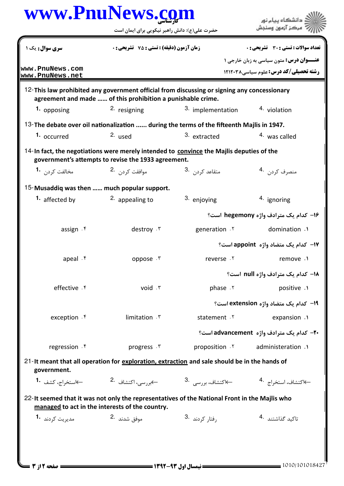|                                             | حضرت علی(ع): دانش راهبر نیکویی برای ایمان است               |                                                                                                  | مركز آزمون وسنجش                                 |
|---------------------------------------------|-------------------------------------------------------------|--------------------------------------------------------------------------------------------------|--------------------------------------------------|
| سری سوال: یک ۱                              | <b>زمان آزمون (دقیقه) : تستی : 75 تشریحی : 0</b>            |                                                                                                  | تعداد سوالات : تستى : 30 ٪ تشريحي : 0            |
| www.PnuNews.com<br>www.PnuNews.net          |                                                             | <b>عنـــوان درس:</b> متون سیاسی به زبان خارجی ۱<br><b>رشته تحصیلی/کد درس: علوم سیاسی ۱۲۱۲۰۳۸</b> |                                                  |
|                                             | agreement and made  of this prohibition a punishable crime. | 12-This law prohibited any government official from discussing or signing any concessionary      |                                                  |
| 1. opposing                                 | 2. resigning                                                | 3. implementation                                                                                | 4. violation                                     |
|                                             |                                                             | 13- The debate over oil nationalization  during the terms of the fifteenth Majlis in 1947.       |                                                  |
| 1. occurred                                 | $2.$ used                                                   | 3. extracted                                                                                     | 4. was called                                    |
|                                             | government's attempts to revise the 1933 agreement.         | 14-In fact, the negotiations were merely intended to convince the Majlis deputies of the         |                                                  |
| مخالفت کرد <sub>ن</sub> <b>-1</b>           | موافقت کردن . 2                                             | متقاعد کردن .3                                                                                   | منصرف كردن 4.                                    |
| 15-Musaddiq was then  much popular support. |                                                             |                                                                                                  |                                                  |
| 1. affected by                              | <sup>2</sup> appealing to                                   | 3. enjoying                                                                                      | 4. ignoring                                      |
|                                             |                                                             |                                                                                                  | 1۶- كدام يك مترادف واژه hegemony است؟            |
| assign $\cdot$ $\uparrow$                   | destroy . ٣                                                 | generation .Y                                                                                    | domination .1                                    |
|                                             |                                                             |                                                                                                  | 17- كدام يك متضاد واژه appoint است؟              |
| apeal $\cdot$                               | oppose . ٣                                                  | reverse .Y                                                                                       | remove .1                                        |
|                                             |                                                             |                                                                                                  | 18- كدام يك مترادف واژه null است؟                |
| effective . f                               | void . ٣                                                    | phase . ٢                                                                                        | positive .1                                      |
|                                             |                                                             |                                                                                                  | 19- كدام یک متضاد واژه extension است؟            |
| exception . f                               | limitation . ٣                                              | statement . ٢                                                                                    | expansion .1                                     |
|                                             |                                                             |                                                                                                  | <b>+۲- کدام یک مترادف واژه advancement است</b> ؟ |
| regression . f                              | progress . ٣                                                | proposition .Y                                                                                   | administeration .1                               |
| government.                                 |                                                             | 21-It meant that all operation for exploration, extraction and sale should be in the hands of    |                                                  |
| ←استخراج، كشف. •1                           |                                                             |                                                                                                  | ←اكتشاف، استخراج. <sup>4</sup>                   |
|                                             | managed to act in the interests of the country.             | 22-It seemed that it was not only the representatives of the National Front in the Majlis who    |                                                  |
| مديريت كردند 1.                             | موفق شدند 2.                                                | 3. رفتار كردند                                                                                   | تاكيد گذاشتند 4.                                 |